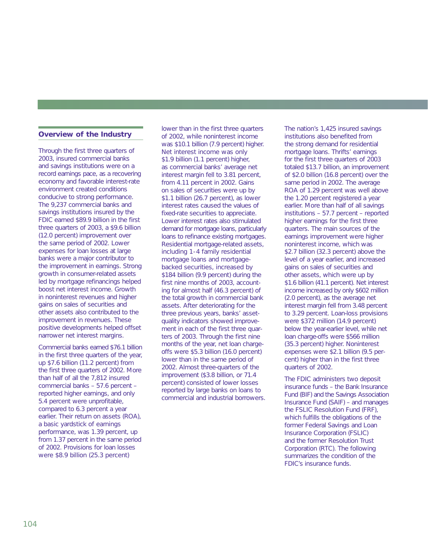## **Overview of the Industry**

Through the first three quarters of 2003, insured commercial banks and savings institutions were on a record earnings pace, as a recovering economy and favorable interest-rate environment created conditions conducive to strong performance. The 9,237 commercial banks and savings institutions insured by the FDIC earned \$89.9 billion in the first three quarters of 2003, a \$9.6 billion (12.0 percent) improvement over the same period of 2002. Lower expenses for loan losses at large banks were a major contributor to the improvement in earnings. Strong growth in consumer-related assets led by mortgage refinancings helped boost net interest income. Growth in noninterest revenues and higher gains on sales of securities and other assets also contributed to the improvement in revenues. These positive developments helped offset narrower net interest margins.

Commercial banks earned \$76.1 billion in the first three quarters of the year, up \$7.6 billion (11.2 percent) from the first three quarters of 2002. More than half of all the 7,812 insured commercial banks – 57.6 percent – reported higher earnings, and only 5.4 percent were unprofitable, compared to 6.3 percent a year earlier. Their return on assets (ROA), a basic yardstick of earnings performance, was 1.39 percent, up from 1.37 percent in the same period of 2002. Provisions for loan losses were \$8.9 billion (25.3 percent)

lower than in the first three quarters of 2002, while noninterest income was \$10.1 billion (7.9 percent) higher. Net interest income was only \$1.9 billion (1.1 percent) higher, as commercial banks' average net interest margin fell to 3.81 percent, from 4.11 percent in 2002. Gains on sales of securities were up by \$1.1 billion (26.7 percent), as lower interest rates caused the values of fixed-rate securities to appreciate. Lower interest rates also stimulated demand for mortgage loans, particularly loans to refinance existing mortgages. Residential mortgage-related assets, including 1- 4 family residential mortgage loans and mortgagebacked securities, increased by \$184 billion (9.9 percent) during the first nine months of 2003, accounting for almost half (46.3 percent) of the total growth in commercial bank assets. After deteriorating for the three previous years, banks' assetquality indicators showed improvement in each of the first three quarters of 2003. Through the first nine months of the year, net loan chargeoffs were \$5.3 billion (16.0 percent) lower than in the same period of 2002. Almost three-quarters of the improvement (\$3.8 billion, or 71.4 percent) consisted of lower losses reported by large banks on loans to commercial and industrial borrowers.

The nation's 1,425 insured savings institutions also benefited from the strong demand for residential mortgage loans. Thrifts' earnings for the first three quarters of 2003 totaled \$13.7 billion, an improvement of \$2.0 billion (16.8 percent) over the same period in 2002. The average ROA of 1.29 percent was well above the 1.20 percent registered a year earlier. More than half of all savings institutions – 57.7 percent – reported higher earnings for the first three quarters. The main sources of the earnings improvement were higher noninterest income, which was \$2.7 billion (32.3 percent) above the level of a year earlier, and increased gains on sales of securities and other assets, which were up by \$1.6 billion (41.1 percent). Net interest income increased by only \$602 million (2.0 percent), as the average net interest margin fell from 3.48 percent to 3.29 percent. Loan-loss provisions were \$372 million (14.9 percent) below the year-earlier level, while net loan charge-offs were \$566 million (35.3 percent) higher. Noninterest expenses were \$2.1 billion (9.5 percent) higher than in the first three quarters of 2002.

The FDIC administers two deposit insurance funds – the Bank Insurance Fund (BIF) and the Savings Association Insurance Fund (SAIF) – and manages the FSLIC Resolution Fund (FRF), which fulfills the obligations of the former Federal Savings and Loan Insurance Corporation (FSLIC) and the former Resolution Trust Corporation (RTC). The following summarizes the condition of the FDIC's insurance funds.